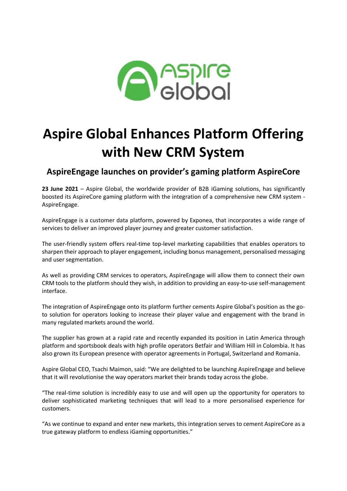

## **Aspire Global Enhances Platform Offering with New CRM System**

## **AspireEngage launches on provider's gaming platform AspireCore**

**23 June 2021** – Aspire Global, the worldwide provider of B2B iGaming solutions, has significantly boosted its AspireCore gaming platform with the integration of a comprehensive new CRM system - AspireEngage.

AspireEngage is a customer data platform, powered by Exponea, that incorporates a wide range of services to deliver an improved player journey and greater customer satisfaction.

The user-friendly system offers real-time top-level marketing capabilities that enables operators to sharpen their approach to player engagement, including bonus management, personalised messaging and user segmentation.

As well as providing CRM services to operators, AspireEngage will allow them to connect their own CRM tools to the platform should they wish, in addition to providing an easy-to-use self-management interface.

The integration of AspireEngage onto its platform further cements Aspire Global's position as the goto solution for operators looking to increase their player value and engagement with the brand in many regulated markets around the world.

The supplier has grown at a rapid rate and recently expanded its position in Latin America through platform and sportsbook deals with high profile operators Betfair and William Hill in Colombia. It has also grown its European presence with operator agreements in Portugal, Switzerland and Romania.

Aspire Global CEO, Tsachi Maimon, said: "We are delighted to be launching AspireEngage and believe that it will revolutionise the way operators market their brands today across the globe.

"The real-time solution is incredibly easy to use and will open up the opportunity for operators to deliver sophisticated marketing techniques that will lead to a more personalised experience for customers.

"As we continue to expand and enter new markets, this integration serves to cement AspireCore as a true gateway platform to endless iGaming opportunities."